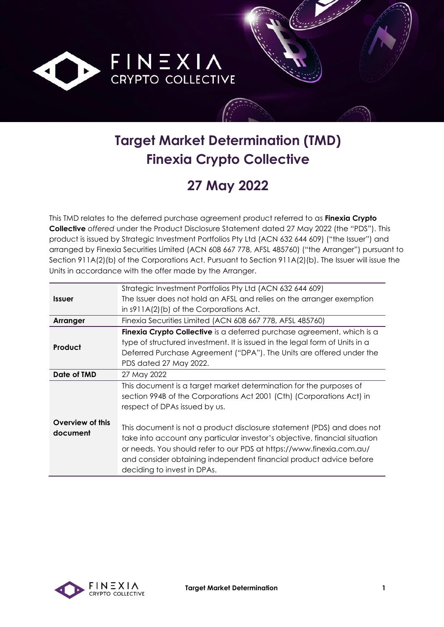

# **Target Market Determination (TMD) Finexia Crypto Collective**

## **27 May 2022**

This TMD relates to the deferred purchase agreement product referred to as **Finexia Crypto Collective** *offered* under the Product Disclosure Statement dated 27 May 2022 (the "PDS"). This product is issued by Strategic Investment Portfolios Pty Ltd (ACN 632 644 609) ("the Issuer") and arranged by Finexia Securities Limited (ACN 608 667 778, AFSL 485760) ("the Arranger") pursuant to Section 911A(2)(b) of the Corporations Act. Pursuant to Section 911A(2)(b). The Issuer will issue the Units in accordance with the offer made by the Arranger.

|                             | Strategic Investment Portfolios Pty Ltd (ACN 632 644 609)                   |
|-----------------------------|-----------------------------------------------------------------------------|
| <i><u><b>Issuer</b></u></i> | The Issuer does not hold an AFSL and relies on the arranger exemption       |
|                             | in $s911A(2)$ (b) of the Corporations Act.                                  |
| Arranger                    | Finexia Securities Limited (ACN 608 667 778, AFSL 485760)                   |
|                             | Finexia Crypto Collective is a deferred purchase agreement, which is a      |
| Product                     | type of structured investment. It is issued in the legal form of Units in a |
|                             | Deferred Purchase Agreement ("DPA"). The Units are offered under the        |
|                             | PDS dated 27 May 2022.                                                      |
| Date of TMD                 | 27 May 2022                                                                 |
|                             | This document is a target market determination for the purposes of          |
|                             | section 994B of the Corporations Act 2001 (Cth) (Corporations Act) in       |
|                             | respect of DPAs issued by us.                                               |
| Overview of this            |                                                                             |
| document                    | This document is not a product disclosure statement (PDS) and does not      |
|                             | take into account any particular investor's objective, financial situation  |
|                             | or needs. You should refer to our PDS at https://www.finexia.com.au/        |
|                             | and consider obtaining independent financial product advice before          |
|                             | deciding to invest in DPAs.                                                 |

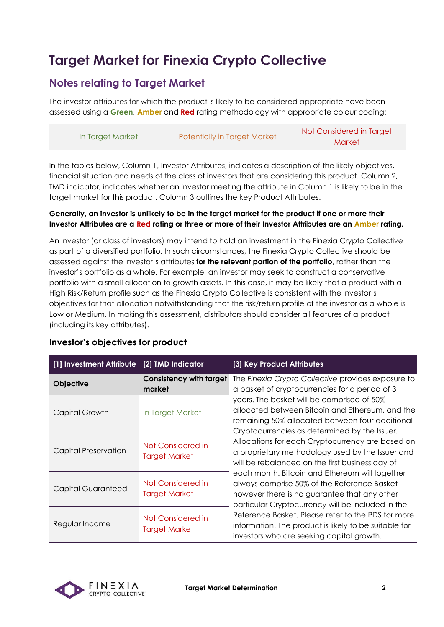## **Target Market for Finexia Crypto Collective**

#### **Notes relating to Target Market**

The investor attributes for which the product is likely to be considered appropriate have been assessed using a **Green**, **Amber** and **Red** rating methodology with appropriate colour coding:

|                  |                                     | Not Considered in Target |
|------------------|-------------------------------------|--------------------------|
| In Target Market | <b>Potentially in Target Market</b> | <b>Market</b>            |

In the tables below, Column 1, Investor Attributes, indicates a description of the likely objectives, financial situation and needs of the class of investors that are considering this product. Column 2, TMD indicator, indicates whether an investor meeting the attribute in Column 1 is likely to be in the target market for this product. Column 3 outlines the key Product Attributes.

#### **Generally, an investor is unlikely to be in the target market for the product if one or more their Investor Attributes are a Red rating or three or more of their Investor Attributes are an Amber rating.**

An investor (or class of investors) may intend to hold an investment in the Finexia Crypto Collective as part of a diversified portfolio. In such circumstances, the Finexia Crypto Collective should be assessed against the investor's attributes **for the relevant portion of the portfolio**, rather than the investor's portfolio as a whole. For example, an investor may seek to construct a conservative portfolio with a small allocation to growth assets. In this case, it may be likely that a product with a High Risk/Return profile such as the Finexia Crypto Collective is consistent with the investor's objectives for that allocation notwithstanding that the risk/return profile of the investor as a whole is Low or Medium. In making this assessment, distributors should consider all features of a product (including its key attributes).

| [1] Investment Attribute [2] TMD Indicator |                                           | [3] Key Product Attributes                                                                                                                                                                                                                                                                                                                                                                                                                                                                                                                                         |
|--------------------------------------------|-------------------------------------------|--------------------------------------------------------------------------------------------------------------------------------------------------------------------------------------------------------------------------------------------------------------------------------------------------------------------------------------------------------------------------------------------------------------------------------------------------------------------------------------------------------------------------------------------------------------------|
| Objective                                  | <b>Consistency with target</b><br>market  | The Finexia Crypto Collective provides exposure to<br>a basket of cryptocurrencies for a period of 3                                                                                                                                                                                                                                                                                                                                                                                                                                                               |
| Capital Growth                             | In Target Market                          | years. The basket will be comprised of 50%<br>allocated between Bitcoin and Ethereum, and the<br>remaining 50% allocated between four additional<br>Cryptocurrencies as determined by the Issuer.<br>Allocations for each Cryptocurrency are based on<br>a proprietary methodology used by the Issuer and<br>will be rebalanced on the first business day of<br>each month. Bitcoin and Ethereum will together<br>always comprise 50% of the Reference Basket<br>however there is no guarantee that any other<br>particular Cryptocurrency will be included in the |
| <b>Capital Preservation</b>                | Not Considered in<br><b>Target Market</b> |                                                                                                                                                                                                                                                                                                                                                                                                                                                                                                                                                                    |
| <b>Capital Guaranteed</b>                  | Not Considered in<br><b>Target Market</b> |                                                                                                                                                                                                                                                                                                                                                                                                                                                                                                                                                                    |
| Regular Income                             | Not Considered in<br><b>Target Market</b> | Reference Basket. Please refer to the PDS for more<br>information. The product is likely to be suitable for<br>investors who are seeking capital growth.                                                                                                                                                                                                                                                                                                                                                                                                           |

#### **Investor's objectives for product**

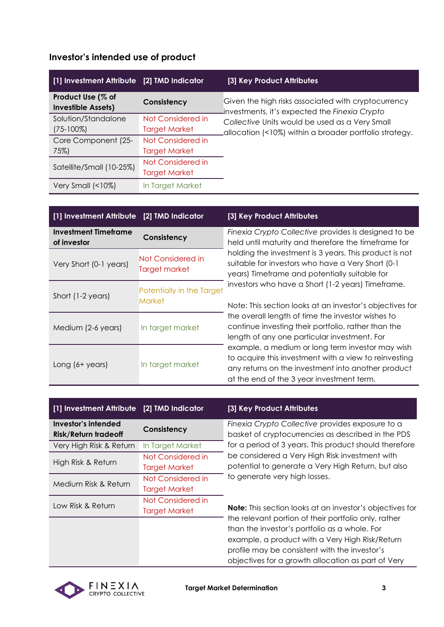|  | Investor's intended use of product |  |  |
|--|------------------------------------|--|--|
|--|------------------------------------|--|--|

| [1] Investment Attribute [2] TMD Indicator     |                      | [3] Key Product Attributes                                                                           |
|------------------------------------------------|----------------------|------------------------------------------------------------------------------------------------------|
| Product Use (% of<br><b>Investible Assets)</b> | Consistency          | Given the high risks associated with cryptocurrency<br>investments, it's expected the Finexia Crypto |
| Solution/Standalone                            | Not Considered in    | Collective Units would be used as a Very Small                                                       |
| $(75-100\%)$                                   | <b>Target Market</b> | allocation (<10%) within a broader portfolio strategy.                                               |
| Core Component (25-                            | Not Considered in    |                                                                                                      |
| 75%)                                           | <b>Target Market</b> |                                                                                                      |
|                                                | Not Considered in    |                                                                                                      |
| Satellite/Small (10-25%)                       | <b>Target Market</b> |                                                                                                      |
| Very Small $($                                 | In Target Market     |                                                                                                      |

| [1] Investment Attribute [2] TMD Indicator |                                            | [3] Key Product Attributes                                                                                                                                                                                                                                                                                                                                                                                                                                                                                                                                                                                                                                |
|--------------------------------------------|--------------------------------------------|-----------------------------------------------------------------------------------------------------------------------------------------------------------------------------------------------------------------------------------------------------------------------------------------------------------------------------------------------------------------------------------------------------------------------------------------------------------------------------------------------------------------------------------------------------------------------------------------------------------------------------------------------------------|
| <b>Investment Timeframe</b><br>of investor | Consistency                                | Finexia Crypto Collective provides is designed to be<br>held until maturity and therefore the timeframe for                                                                                                                                                                                                                                                                                                                                                                                                                                                                                                                                               |
| Very Short (0-1 years)                     | Not Considered in<br>Target market         | holding the investment is 3 years. This product is not<br>suitable for investors who have a Very Short (0-1<br>years) Timeframe and potentially suitable for<br>investors who have a Short (1-2 years) Timeframe.<br>Note: This section looks at an investor's objectives for<br>the overall length of time the investor wishes to<br>continue investing their portfolio, rather than the<br>length of any one particular investment. For<br>example, a medium or long term investor may wish<br>to acquire this investment with a view to reinvesting<br>any returns on the investment into another product<br>at the end of the 3 year investment term. |
| Short (1-2 years)                          | Potentially in the Target<br><b>Market</b> |                                                                                                                                                                                                                                                                                                                                                                                                                                                                                                                                                                                                                                                           |
| Medium (2-6 years)                         | In target market                           |                                                                                                                                                                                                                                                                                                                                                                                                                                                                                                                                                                                                                                                           |
| Long $(6 + \gamma e\cos)$                  | In target market                           |                                                                                                                                                                                                                                                                                                                                                                                                                                                                                                                                                                                                                                                           |

| [1] Investment Attribute [2] TMD Indicator         |                                           | [3] Key Product Attributes                                                                                                                                                                                                                                                                                                                                                                                                                                                  |
|----------------------------------------------------|-------------------------------------------|-----------------------------------------------------------------------------------------------------------------------------------------------------------------------------------------------------------------------------------------------------------------------------------------------------------------------------------------------------------------------------------------------------------------------------------------------------------------------------|
| Investor's intended<br><b>Risk/Return tradeoff</b> | Consistency                               | Finexia Crypto Collective provides exposure to a<br>basket of cryptocurrencies as described in the PDS                                                                                                                                                                                                                                                                                                                                                                      |
| Very High Risk & Return                            | In Target Market                          | for a period of 3 years. This product should therefore                                                                                                                                                                                                                                                                                                                                                                                                                      |
| High Risk & Return                                 | Not Considered in<br><b>Target Market</b> | be considered a Very High Risk investment with<br>potential to generate a Very High Return, but also<br>to generate very high losses.<br><b>Note:</b> This section looks at an investor's objectives for<br>the relevant portion of their portfolio only, rather<br>than the investor's portfolio as a whole. For<br>example, a product with a Very High Risk/Return<br>profile may be consistent with the investor's<br>objectives for a growth allocation as part of Very |
| Medium Risk & Return                               | Not Considered in<br><b>Target Market</b> |                                                                                                                                                                                                                                                                                                                                                                                                                                                                             |
| Low Risk & Return                                  | Not Considered in<br><b>Target Market</b> |                                                                                                                                                                                                                                                                                                                                                                                                                                                                             |
|                                                    |                                           |                                                                                                                                                                                                                                                                                                                                                                                                                                                                             |

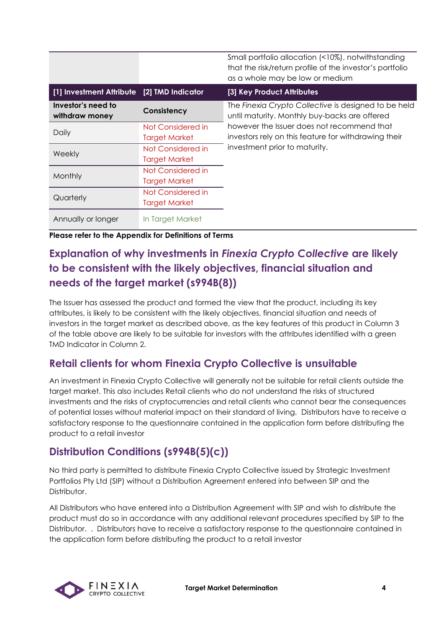|                                            |                                           | Small portfolio allocation (<10%), notwithstanding<br>that the risk/return profile of the investor's portfolio<br>as a whole may be low or medium |
|--------------------------------------------|-------------------------------------------|---------------------------------------------------------------------------------------------------------------------------------------------------|
| [1] Investment Attribute [2] TMD Indicator |                                           | [3] Key Product Attributes                                                                                                                        |
| Investor's need to<br>withdraw money       | Consistency                               | The Finexia Crypto Collective is designed to be held<br>until maturity. Monthly buy-backs are offered                                             |
| Daily                                      | Not Considered in<br><b>Target Market</b> | however the Issuer does not recommend that<br>investors rely on this feature for withdrawing their                                                |
| Weekly                                     | Not Considered in<br><b>Target Market</b> | investment prior to maturity.                                                                                                                     |
| Monthly                                    | Not Considered in<br><b>Target Market</b> |                                                                                                                                                   |
| Quarterly                                  | Not Considered in<br><b>Target Market</b> |                                                                                                                                                   |
| Annually or longer                         | In Target Market                          |                                                                                                                                                   |

**Please refer to the Appendix for Definitions of Terms**

### **Explanation of why investments in** *Finexia Crypto Collective* **are likely to be consistent with the likely objectives, financial situation and needs of the target market (s994B(8))**

The Issuer has assessed the product and formed the view that the product, including its key attributes, is likely to be consistent with the likely objectives, financial situation and needs of investors in the target market as described above, as the key features of this product in Column 3 of the table above are likely to be suitable for investors with the attributes identified with a green TMD Indicator in Column 2.

#### **Retail clients for whom Finexia Crypto Collective is unsuitable**

An investment in Finexia Crypto Collective will generally not be suitable for retail clients outside the target market. This also includes Retail clients who do not understand the risks of structured investments and the risks of cryptocurrencies and retail clients who cannot bear the consequences of potential losses without material impact on their standard of living. Distributors have to receive a satisfactory response to the questionnaire contained in the application form before distributing the product to a retail investor

#### **Distribution Conditions (s994B(5)(c))**

No third party is permitted to distribute Finexia Crypto Collective issued by Strategic Investment Portfolios Pty Ltd (SIP) without a Distribution Agreement entered into between SIP and the Distributor.

All Distributors who have entered into a Distribution Agreement with SIP and wish to distribute the product must do so in accordance with any additional relevant procedures specified by SIP to the Distributor. . Distributors have to receive a satisfactory response to the questionnaire contained in the application form before distributing the product to a retail investor

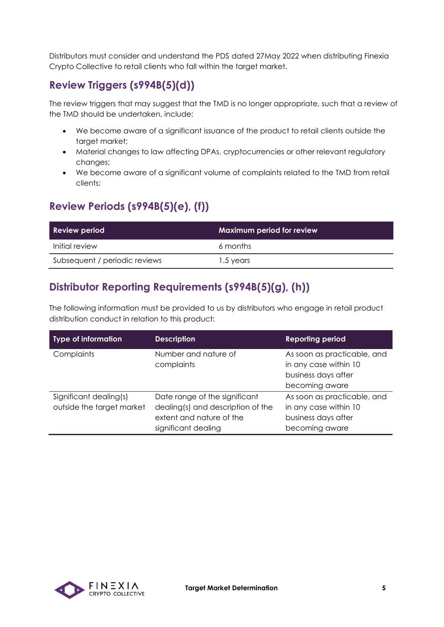Distributors must consider and understand the PDS dated 27May 2022 when distributing Finexia Crypto Collective to retail clients who fall within the target market.

#### **Review Triggers (s994B(5)(d))**

The review triggers that may suggest that the TMD is no longer appropriate, such that a review of the TMD should be undertaken, include:

- We become aware of a significant issuance of the product to retail clients outside the target market;
- Material changes to law affecting DPAs, cryptocurrencies or other relevant regulatory changes;
- We become aware of a significant volume of complaints related to the TMD from retail clients;

### **Review Periods (s994B(5)(e), (f))**

| Review period                 | <b>Maximum period for review</b> |
|-------------------------------|----------------------------------|
| Initial review                | 6 months                         |
| Subsequent / periodic reviews | 1.5 years                        |

### **Distributor Reporting Requirements (s994B(5)(g), (h))**

The following information must be provided to us by distributors who engage in retail product distribution conduct in relation to this product:

| <b>Type of information</b>                          | <b>Description</b>                                                                                                    | <b>Reporting period</b>                                                                       |
|-----------------------------------------------------|-----------------------------------------------------------------------------------------------------------------------|-----------------------------------------------------------------------------------------------|
| Complaints                                          | Number and nature of<br>complaints                                                                                    | As soon as practicable, and<br>in any case within 10<br>business days after<br>becoming aware |
| Significant dealing(s)<br>outside the target market | Date range of the significant<br>dealing(s) and description of the<br>extent and nature of the<br>significant dealing | As soon as practicable, and<br>in any case within 10<br>business days after<br>becoming aware |

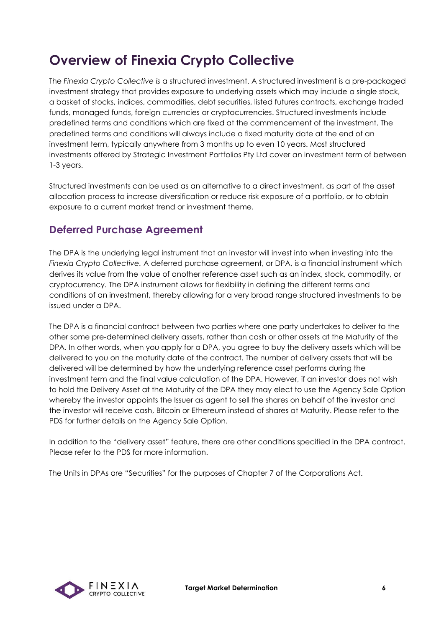### **Overview of Finexia Crypto Collective**

The *Finexia Crypto Collective is* a structured investment. A structured investment is a pre-packaged investment strategy that provides exposure to underlying assets which may include a single stock, a basket of stocks, indices, commodities, debt securities, listed futures contracts, exchange traded funds, managed funds, foreign currencies or cryptocurrencies. Structured investments include predefined terms and conditions which are fixed at the commencement of the investment. The predefined terms and conditions will always include a fixed maturity date at the end of an investment term, typically anywhere from 3 months up to even 10 years. Most structured investments offered by Strategic Investment Portfolios Pty Ltd cover an investment term of between 1-3 years.

Structured investments can be used as an alternative to a direct investment, as part of the asset allocation process to increase diversification or reduce risk exposure of a portfolio, or to obtain exposure to a current market trend or investment theme.

#### **Deferred Purchase Agreement**

The DPA is the underlying legal instrument that an investor will invest into when investing into the *Finexia Crypto Collective.* A deferred purchase agreement, or DPA, is a financial instrument which derives its value from the value of another reference asset such as an index, stock, commodity, or cryptocurrency. The DPA instrument allows for flexibility in defining the different terms and conditions of an investment, thereby allowing for a very broad range structured investments to be issued under a DPA.

The DPA is a financial contract between two parties where one party undertakes to deliver to the other some pre-determined delivery assets, rather than cash or other assets at the Maturity of the DPA. In other words, when you apply for a DPA, you agree to buy the delivery assets which will be delivered to you on the maturity date of the contract. The number of delivery assets that will be delivered will be determined by how the underlying reference asset performs during the investment term and the final value calculation of the DPA. However, if an investor does not wish to hold the Delivery Asset at the Maturity of the DPA they may elect to use the Agency Sale Option whereby the investor appoints the Issuer as agent to sell the shares on behalf of the investor and the investor will receive cash, Bitcoin or Ethereum instead of shares at Maturity. Please refer to the PDS for further details on the Agency Sale Option.

In addition to the "delivery asset" feature, there are other conditions specified in the DPA contract. Please refer to the PDS for more information.

The Units in DPAs are "Securities" for the purposes of Chapter 7 of the Corporations Act.

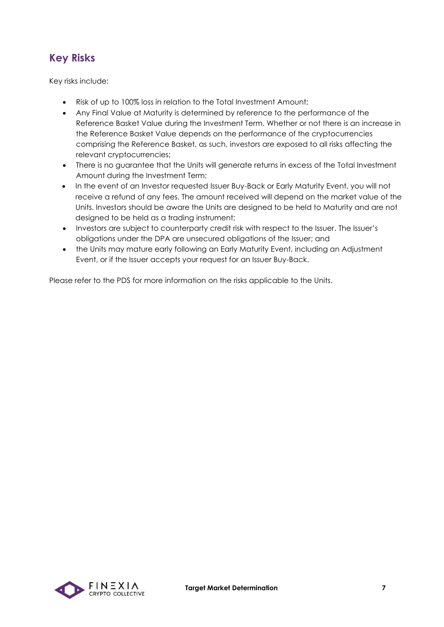### **Key Risks**

Key risks include:

- Risk of up to 100% loss in relation to the Total Investment Amount;
- Any Final Value at Maturity is determined by reference to the performance of the Reference Basket Value during the Investment Term. Whether or not there is an increase in the Reference Basket Value depends on the performance of the cryptocurrencies comprising the Reference Basket, as such, investors are exposed to all risks affecting the relevant cryptocurrencies;
- There is no guarantee that the Units will generate returns in excess of the Total Investment Amount during the Investment Term;
- In the event of an Investor requested Issuer Buy-Back or Early Maturity Event, you will not receive a refund of any fees. The amount received will depend on the market value of the Units. Investors should be aware the Units are designed to be held to Maturity and are not designed to be held as a trading instrument;
- Investors are subject to counterparty credit risk with respect to the Issuer. The Issuer's obligations under the DPA are unsecured obligations of the Issuer; and
- the Units may mature early following an Early Maturity Event, including an Adjustment Event, or if the Issuer accepts your request for an Issuer Buy-Back.

Please refer to the PDS for more information on the risks applicable to the Units.

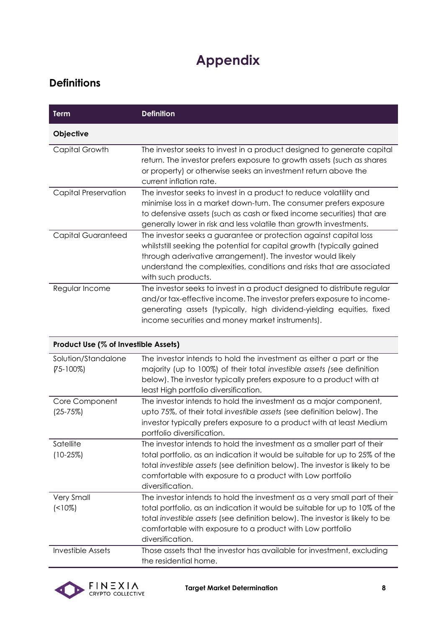## **Appendix**

#### **Definitions**

| Term                                 | <b>Definition</b>                                                                                                                                                                                                                                                                                                         |
|--------------------------------------|---------------------------------------------------------------------------------------------------------------------------------------------------------------------------------------------------------------------------------------------------------------------------------------------------------------------------|
| Objective                            |                                                                                                                                                                                                                                                                                                                           |
| Capital Growth                       | The investor seeks to invest in a product designed to generate capital<br>return. The investor prefers exposure to growth assets (such as shares<br>or property) or otherwise seeks an investment return above the<br>current inflation rate.                                                                             |
| <b>Capital Preservation</b>          | The investor seeks to invest in a product to reduce volatility and<br>minimise loss in a market down-turn. The consumer prefers exposure<br>to defensive assets (such as cash or fixed income securities) that are<br>generally lower in risk and less volatile than growth investments.                                  |
| Capital Guaranteed                   | The investor seeks a guarantee or protection against capital loss<br>whilststill seeking the potential for capital growth (typically gained<br>through aderivative arrangement). The investor would likely<br>understand the complexities, conditions and risks that are associated<br>with such products.                |
| Regular Income                       | The investor seeks to invest in a product designed to distribute regular<br>and/or tax-effective income. The investor prefers exposure to income-<br>generating assets (typically, high dividend-yielding equities, fixed<br>income securities and money market instruments).                                             |
| Product Use (% of Investible Assets) |                                                                                                                                                                                                                                                                                                                           |
| Solution/Standalone<br>$(75-100%)$   | The investor intends to hold the investment as either a part or the<br>majority (up to 100%) of their total investible assets (see definition<br>below). The investor typically prefers exposure to a product with at<br>least High portfolio diversification.                                                            |
| Core Component<br>$(25 - 75%)$       | The investor intends to hold the investment as a major component,<br>upto 75%, of their total investible assets (see definition below). The<br>investor typically prefers exposure to a product with at least Medium<br>portfolio diversification.                                                                        |
| Satellite<br>$(10-25%)$              | The investor intends to hold the investment as a smaller part of their<br>total portfolio, as an indication it would be suitable for up to 25% of the<br>total investible assets (see definition below). The investor is likely to be<br>comfortable with exposure to a product with Low portfolio<br>diversification.    |
| <b>Very Small</b><br>$($ < 10%)      | The investor intends to hold the investment as a very small part of their<br>total portfolio, as an indication it would be suitable for up to 10% of the<br>total investible assets (see definition below). The investor is likely to be<br>comfortable with exposure to a product with Low portfolio<br>diversification. |
| Investible Assets                    | Those assets that the investor has available for investment, excluding<br>the residential home.                                                                                                                                                                                                                           |

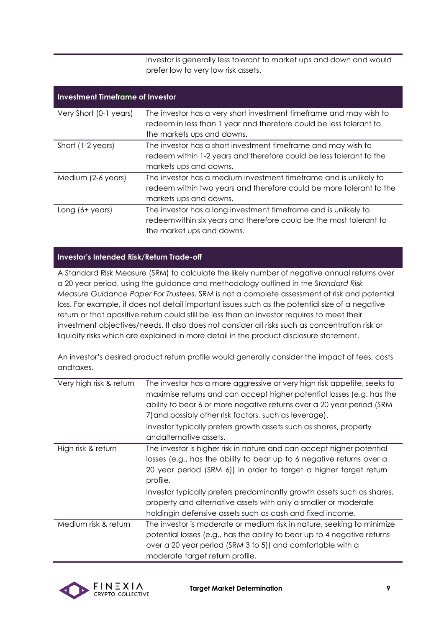Investor is generally less tolerant to market ups and down and would prefer low to very low risk assets.

| <b>Investment Timeframe of Investor</b> |                                                                                                                                          |  |
|-----------------------------------------|------------------------------------------------------------------------------------------------------------------------------------------|--|
| Very Short (0-1 years)                  | The investor has a very short investment timeframe and may wish to<br>redeem in less than 1 year and therefore could be less tolerant to |  |
|                                         | the markets ups and downs.                                                                                                               |  |
| Short (1-2 years)                       | The investor has a short investment timeframe and may wish to                                                                            |  |
|                                         | redeem within 1-2 years and therefore could be less tolerant to the                                                                      |  |
|                                         | markets ups and downs.                                                                                                                   |  |
| Medium (2-6 years)                      | The investor has a medium investment timeframe and is unlikely to                                                                        |  |
|                                         | redeem within two years and therefore could be more tolerant to the                                                                      |  |
|                                         | markets ups and downs.                                                                                                                   |  |
| Long $(6 + \gamma e\cos)$               | The investor has a long investment timeframe and is unlikely to                                                                          |  |
|                                         | redeem within six years and therefore could be the most tolerant to                                                                      |  |
|                                         | the market ups and downs.                                                                                                                |  |

#### **Investor's Intended Risk/Return Trade-off**

A Standard Risk Measure (SRM) to calculate the likely number of negative annual returns over a 20 year period, using the guidance and methodology outlined in the S*[tandard Risk](https://protect-eu.mimecast.com/s/pqPaCwVNmtGRQpvMFVpVgu?domain=urldefense.com)  [Measure](https://protect-eu.mimecast.com/s/pqPaCwVNmtGRQpvMFVpVgu?domain=urldefense.com) [Guidance Paper For Trustees](https://protect-eu.mimecast.com/s/pqPaCwVNmtGRQpvMFVpVgu?domain=urldefense.com)*. SRM is not a complete assessment of risk and potential loss. For example, it does not detail important issues such as the potential size of a negative return or that apositive return could still be less than an investor requires to meet their investment objectives/needs. It also does not consider all risks such as concentration risk or liquidity risks which are explained in more detail in the product disclosure statement.

An investor's desired product return profile would generally consider the impact of fees, costs andtaxes.

| Very high risk & return | The investor has a more aggressive or very high risk appetite, seeks to<br>maximise returns and can accept higher potential losses (e.g. has the<br>ability to bear 6 or more negative returns over a 20 year period (SRM<br>7) and possibly other risk factors, such as leverage).                                                                                                                                                       |
|-------------------------|-------------------------------------------------------------------------------------------------------------------------------------------------------------------------------------------------------------------------------------------------------------------------------------------------------------------------------------------------------------------------------------------------------------------------------------------|
|                         | Investor typically prefers growth assets such as shares, property<br>andalternative assets.                                                                                                                                                                                                                                                                                                                                               |
| High risk & return      | The investor is higher risk in nature and can accept higher potential<br>losses (e.g., has the ability to bear up to 6 negative returns over a<br>20 year period (SRM 6)) in order to target a higher target return<br>profile.<br>Investor typically prefers predominantly growth assets such as shares,<br>property and alternative assets with only a smaller or moderate<br>holdingin defensive assets such as cash and fixed income. |
| Medium risk & return    | The investor is moderate or medium risk in nature, seeking to minimize<br>potential losses (e.g., has the ability to bear up to 4 negative returns<br>over a 20 year period (SRM 3 to 5)) and comfortable with a<br>moderate target return profile.                                                                                                                                                                                       |